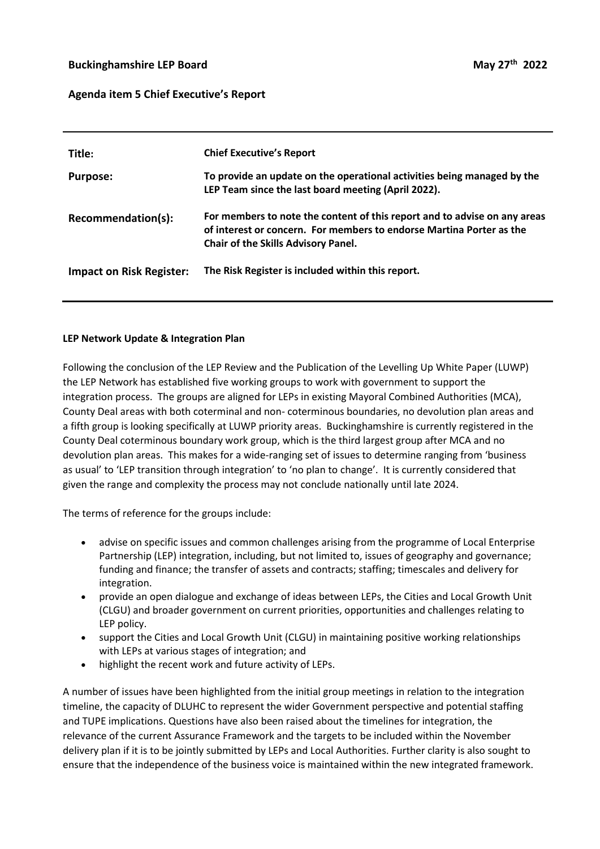### **Buckinghamshire LEP Board**

#### **Agenda item 5 Chief Executive's Report**

| Title:                          | <b>Chief Executive's Report</b>                                                                                                                                                                 |
|---------------------------------|-------------------------------------------------------------------------------------------------------------------------------------------------------------------------------------------------|
| <b>Purpose:</b>                 | To provide an update on the operational activities being managed by the<br>LEP Team since the last board meeting (April 2022).                                                                  |
| Recommendation(s):              | For members to note the content of this report and to advise on any areas<br>of interest or concern. For members to endorse Martina Porter as the<br><b>Chair of the Skills Advisory Panel.</b> |
| <b>Impact on Risk Register:</b> | The Risk Register is included within this report.                                                                                                                                               |

#### **LEP Network Update & Integration Plan**

Following the conclusion of the LEP Review and the Publication of the Levelling Up White Paper (LUWP) the LEP Network has established five working groups to work with government to support the integration process. The groups are aligned for LEPs in existing Mayoral Combined Authorities (MCA), County Deal areas with both coterminal and non- coterminous boundaries, no devolution plan areas and a fifth group is looking specifically at LUWP priority areas. Buckinghamshire is currently registered in the County Deal coterminous boundary work group, which is the third largest group after MCA and no devolution plan areas. This makes for a wide-ranging set of issues to determine ranging from 'business as usual' to 'LEP transition through integration' to 'no plan to change'. It is currently considered that given the range and complexity the process may not conclude nationally until late 2024.

The terms of reference for the groups include:

- advise on specific issues and common challenges arising from the programme of Local Enterprise Partnership (LEP) integration, including, but not limited to, issues of geography and governance; funding and finance; the transfer of assets and contracts; staffing; timescales and delivery for integration.
- provide an open dialogue and exchange of ideas between LEPs, the Cities and Local Growth Unit (CLGU) and broader government on current priorities, opportunities and challenges relating to LEP policy.
- support the Cities and Local Growth Unit (CLGU) in maintaining positive working relationships with LEPs at various stages of integration; and
- highlight the recent work and future activity of LEPs.

A number of issues have been highlighted from the initial group meetings in relation to the integration timeline, the capacity of DLUHC to represent the wider Government perspective and potential staffing and TUPE implications. Questions have also been raised about the timelines for integration, the relevance of the current Assurance Framework and the targets to be included within the November delivery plan if it is to be jointly submitted by LEPs and Local Authorities. Further clarity is also sought to ensure that the independence of the business voice is maintained within the new integrated framework.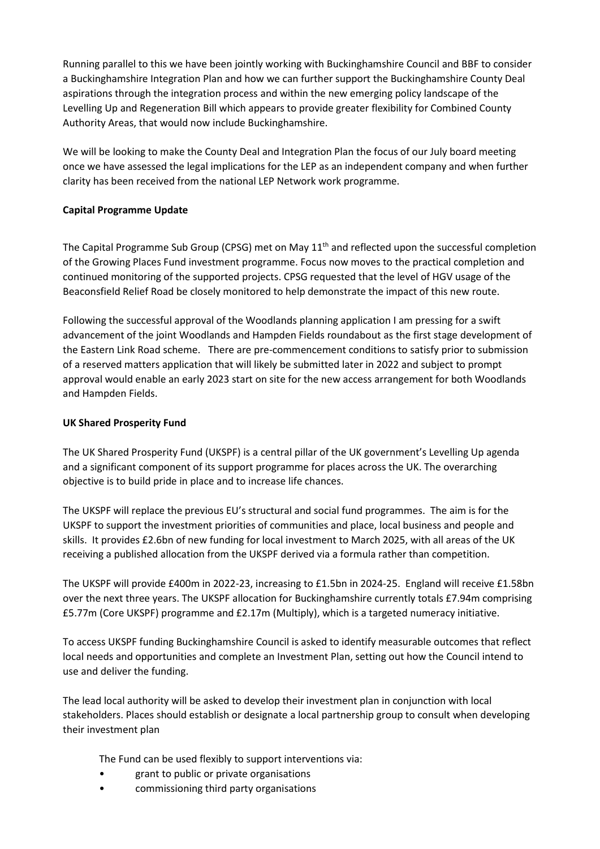Running parallel to this we have been jointly working with Buckinghamshire Council and BBF to consider a Buckinghamshire Integration Plan and how we can further support the Buckinghamshire County Deal aspirations through the integration process and within the new emerging policy landscape of the Levelling Up and Regeneration Bill which appears to provide greater flexibility for Combined County Authority Areas, that would now include Buckinghamshire.

We will be looking to make the County Deal and Integration Plan the focus of our July board meeting once we have assessed the legal implications for the LEP as an independent company and when further clarity has been received from the national LEP Network work programme.

# **Capital Programme Update**

The Capital Programme Sub Group (CPSG) met on May 11<sup>th</sup> and reflected upon the successful completion of the Growing Places Fund investment programme. Focus now moves to the practical completion and continued monitoring of the supported projects. CPSG requested that the level of HGV usage of the Beaconsfield Relief Road be closely monitored to help demonstrate the impact of this new route.

Following the successful approval of the Woodlands planning application I am pressing for a swift advancement of the joint Woodlands and Hampden Fields roundabout as the first stage development of the Eastern Link Road scheme. There are pre-commencement conditions to satisfy prior to submission of a reserved matters application that will likely be submitted later in 2022 and subject to prompt approval would enable an early 2023 start on site for the new access arrangement for both Woodlands and Hampden Fields.

# **UK Shared Prosperity Fund**

The UK Shared Prosperity Fund (UKSPF) is a central pillar of the UK government's Levelling Up agenda and a significant component of its support programme for places across the UK. The overarching objective is to build pride in place and to increase life chances.

The UKSPF will replace the previous EU's structural and social fund programmes. The aim is for the UKSPF to support the investment priorities of communities and place, local business and people and skills. It provides £2.6bn of new funding for local investment to March 2025, with all areas of the UK receiving a published allocation from the UKSPF derived via a formula rather than competition.

The UKSPF will provide £400m in 2022-23, increasing to £1.5bn in 2024-25. England will receive £1.58bn over the next three years. The UKSPF allocation for Buckinghamshire currently totals £7.94m comprising £5.77m (Core UKSPF) programme and £2.17m (Multiply), which is a targeted numeracy initiative.

To access UKSPF funding Buckinghamshire Council is asked to identify measurable outcomes that reflect local needs and opportunities and complete an Investment Plan, setting out how the Council intend to use and deliver the funding.

The lead local authority will be asked to develop their investment plan in conjunction with local stakeholders. Places should establish or designate a local partnership group to consult when developing their investment plan

The Fund can be used flexibly to support interventions via:

- grant to public or private organisations
- commissioning third party organisations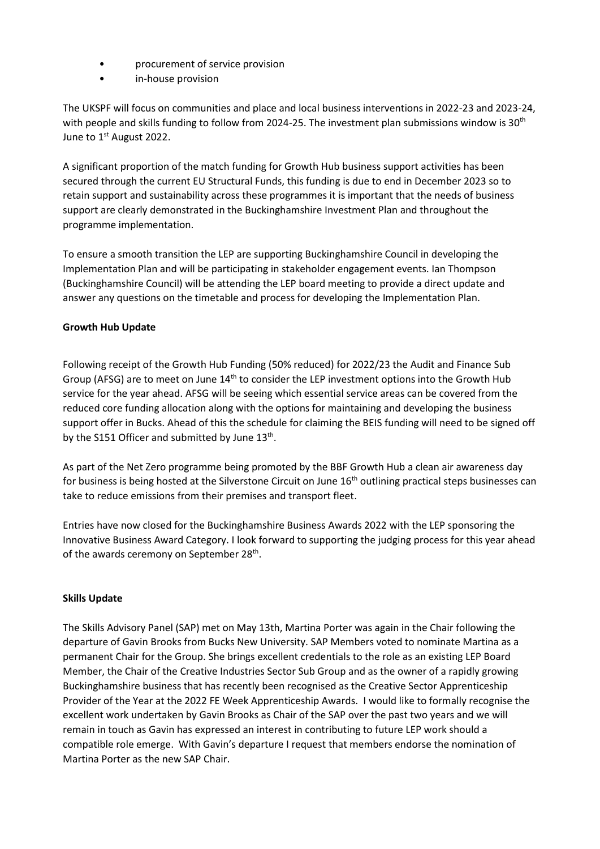- procurement of service provision
- in-house provision

The UKSPF will focus on communities and place and local business interventions in 2022-23 and 2023-24, with people and skills funding to follow from 2024-25. The investment plan submissions window is 30<sup>th</sup> June to 1<sup>st</sup> August 2022.

A significant proportion of the match funding for Growth Hub business support activities has been secured through the current EU Structural Funds, this funding is due to end in December 2023 so to retain support and sustainability across these programmes it is important that the needs of business support are clearly demonstrated in the Buckinghamshire Investment Plan and throughout the programme implementation.

To ensure a smooth transition the LEP are supporting Buckinghamshire Council in developing the Implementation Plan and will be participating in stakeholder engagement events. Ian Thompson (Buckinghamshire Council) will be attending the LEP board meeting to provide a direct update and answer any questions on the timetable and process for developing the Implementation Plan.

## **Growth Hub Update**

Following receipt of the Growth Hub Funding (50% reduced) for 2022/23 the Audit and Finance Sub Group (AFSG) are to meet on June 14<sup>th</sup> to consider the LEP investment options into the Growth Hub service for the year ahead. AFSG will be seeing which essential service areas can be covered from the reduced core funding allocation along with the options for maintaining and developing the business support offer in Bucks. Ahead of this the schedule for claiming the BEIS funding will need to be signed off by the S151 Officer and submitted by June  $13<sup>th</sup>$ .

As part of the Net Zero programme being promoted by the BBF Growth Hub a clean air awareness day for business is being hosted at the Silverstone Circuit on June 16<sup>th</sup> outlining practical steps businesses can take to reduce emissions from their premises and transport fleet.

Entries have now closed for the Buckinghamshire Business Awards 2022 with the LEP sponsoring the Innovative Business Award Category. I look forward to supporting the judging process for this year ahead of the awards ceremony on September 28<sup>th</sup>.

## **Skills Update**

The Skills Advisory Panel (SAP) met on May 13th, Martina Porter was again in the Chair following the departure of Gavin Brooks from Bucks New University. SAP Members voted to nominate Martina as a permanent Chair for the Group. She brings excellent credentials to the role as an existing LEP Board Member, the Chair of the Creative Industries Sector Sub Group and as the owner of a rapidly growing Buckinghamshire business that has recently been recognised as the Creative Sector Apprenticeship Provider of the Year at the 2022 FE Week Apprenticeship Awards. I would like to formally recognise the excellent work undertaken by Gavin Brooks as Chair of the SAP over the past two years and we will remain in touch as Gavin has expressed an interest in contributing to future LEP work should a compatible role emerge. With Gavin's departure I request that members endorse the nomination of Martina Porter as the new SAP Chair.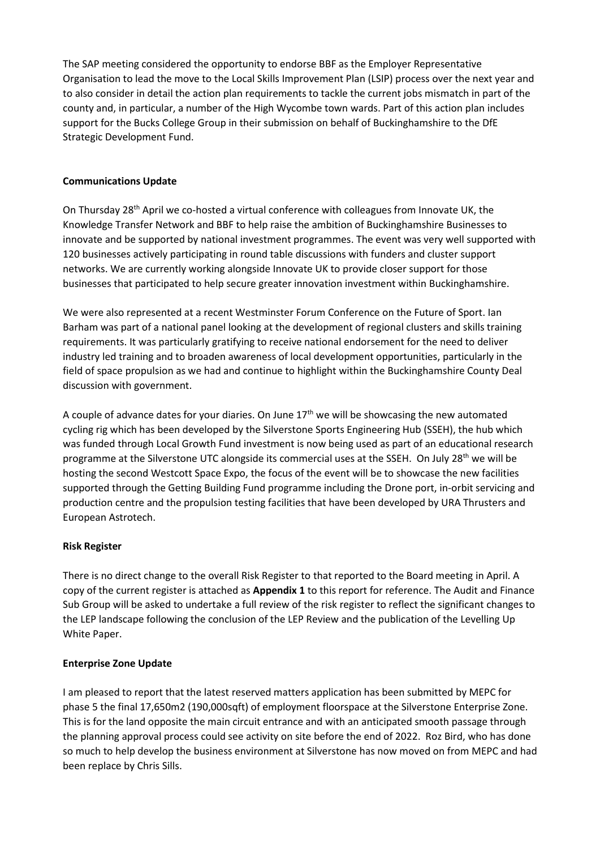The SAP meeting considered the opportunity to endorse BBF as the Employer Representative Organisation to lead the move to the Local Skills Improvement Plan (LSIP) process over the next year and to also consider in detail the action plan requirements to tackle the current jobs mismatch in part of the county and, in particular, a number of the High Wycombe town wards. Part of this action plan includes support for the Bucks College Group in their submission on behalf of Buckinghamshire to the DfE Strategic Development Fund.

## **Communications Update**

On Thursday 28<sup>th</sup> April we co-hosted a virtual conference with colleagues from Innovate UK, the Knowledge Transfer Network and BBF to help raise the ambition of Buckinghamshire Businesses to innovate and be supported by national investment programmes. The event was very well supported with 120 businesses actively participating in round table discussions with funders and cluster support networks. We are currently working alongside Innovate UK to provide closer support for those businesses that participated to help secure greater innovation investment within Buckinghamshire.

We were also represented at a recent Westminster Forum Conference on the Future of Sport. Ian Barham was part of a national panel looking at the development of regional clusters and skills training requirements. It was particularly gratifying to receive national endorsement for the need to deliver industry led training and to broaden awareness of local development opportunities, particularly in the field of space propulsion as we had and continue to highlight within the Buckinghamshire County Deal discussion with government.

A couple of advance dates for your diaries. On June  $17<sup>th</sup>$  we will be showcasing the new automated cycling rig which has been developed by the Silverstone Sports Engineering Hub (SSEH), the hub which was funded through Local Growth Fund investment is now being used as part of an educational research programme at the Silverstone UTC alongside its commercial uses at the SSEH. On July 28<sup>th</sup> we will be hosting the second Westcott Space Expo, the focus of the event will be to showcase the new facilities supported through the Getting Building Fund programme including the Drone port, in-orbit servicing and production centre and the propulsion testing facilities that have been developed by URA Thrusters and European Astrotech.

## **Risk Register**

There is no direct change to the overall Risk Register to that reported to the Board meeting in April. A copy of the current register is attached as **Appendix 1** to this report for reference. The Audit and Finance Sub Group will be asked to undertake a full review of the risk register to reflect the significant changes to the LEP landscape following the conclusion of the LEP Review and the publication of the Levelling Up White Paper.

# **Enterprise Zone Update**

I am pleased to report that the latest reserved matters application has been submitted by MEPC for phase 5 the final 17,650m2 (190,000sqft) of employment floorspace at the Silverstone Enterprise Zone. This is for the land opposite the main circuit entrance and with an anticipated smooth passage through the planning approval process could see activity on site before the end of 2022. Roz Bird, who has done so much to help develop the business environment at Silverstone has now moved on from MEPC and had been replace by Chris Sills.